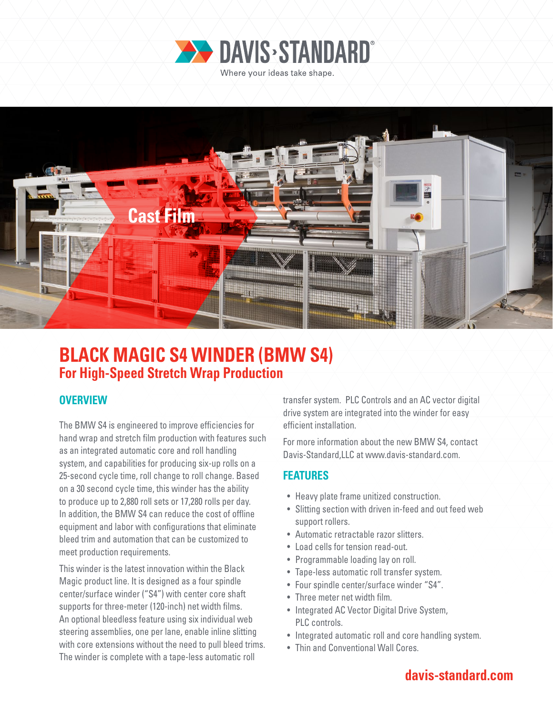



# **BLACK MAGIC S4 WINDER (BMW S4) For High-Speed Stretch Wrap Production**

### **OVERVIEW**

The BMW S4 is engineered to improve efficiencies for hand wrap and stretch film production with features such as an integrated automatic core and roll handling system, and capabilities for producing six-up rolls on a 25-second cycle time, roll change to roll change. Based on a 30 second cycle time, this winder has the ability to produce up to 2,880 roll sets or 17,280 rolls per day. In addition, the BMW S4 can reduce the cost of offline equipment and labor with configurations that eliminate bleed trim and automation that can be customized to meet production requirements.

This winder is the latest innovation within the Black Magic product line. It is designed as a four spindle center/surface winder ("S4") with center core shaft supports for three-meter (120-inch) net width films. An optional bleedless feature using six individual web steering assemblies, one per lane, enable inline slitting with core extensions without the need to pull bleed trims. The winder is complete with a tape-less automatic roll

transfer system. PLC Controls and an AC vector digital drive system are integrated into the winder for easy efficient installation.

For more information about the new BMW S4, contact Davis-Standard,LLC at www.davis-standard.com.

### **FEATURES**

- Heavy plate frame unitized construction.
- Slitting section with driven in-feed and out feed web support rollers.
- Automatic retractable razor slitters.
- Load cells for tension read-out.
- Programmable loading lay on roll.
- Tape-less automatic roll transfer system.
- Four spindle center/surface winder "S4".
- Three meter net width film.
- Integrated AC Vector Digital Drive System, PLC controls.
- Integrated automatic roll and core handling system.
- Thin and Conventional Wall Cores.

## **davis-standard.com**